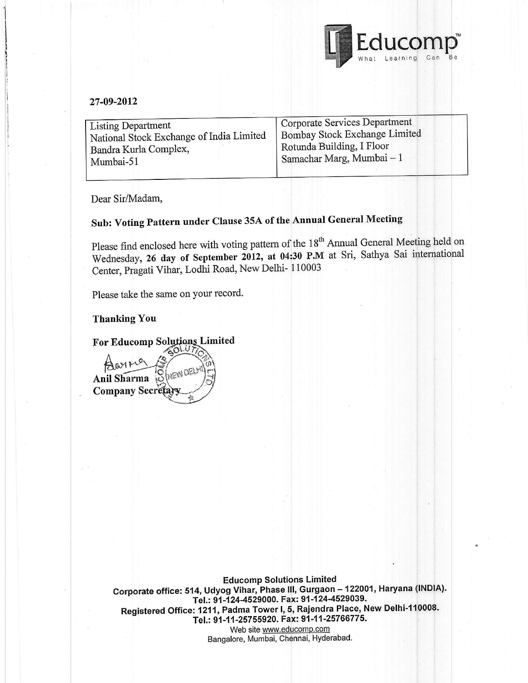

#### 27-09:2012

| <b>Listing Department</b>                | Corporate Services Department |
|------------------------------------------|-------------------------------|
| National Stock Exchange of India Limited | Bombay Stock Exchange Limited |
| Bandra Kurla Complex,                    | Rotunda Building, I Floor     |
| Mumbai-51                                | Samachar Marg, Mumbai - 1     |

Dear Sir/Madam,

# Sub: Voting Pattern under Clause 35A of the Annual General Meeting

Please find enclosed here with voting pattern of the 18<sup>th</sup> Annual General Meeting held on Wednesday, 26 day of September 2012, at 04:30 P.M at Sri, Sathya Sai international<br> $\Omega$  the Disapti Viber Locki Boad New Delhi-110003 Center, Pragati Vihar, Lodhi Road, New Delhi- 110003

Please take the same on your record.

#### Thanking You

For Educomp So Limited

Anil Sharma **Company Secretar** 

> **Educomp Solutions Limited** Corporate office: 514, Udyog Vihar, Phase III, Gurgaon - 122001, Haryana (INDIA). Tel.: 91-124-4529000. Fax: 91-124-4529039. Registered Office: 1211, Padma Tower I, 5, Rajendra Place, New Delhi-110008. Tel.: 91-11-25755920. Fax: 91-11-25766775. Web site www.educomp.com Bangalore, Mumbai, Chennai, Hyderabad.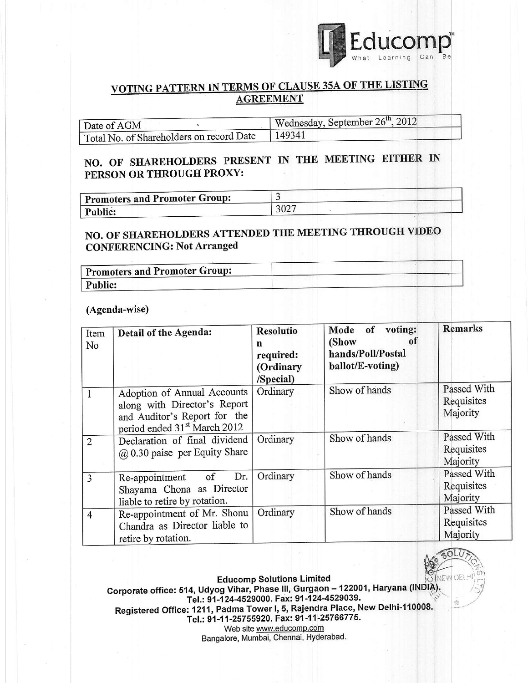

"l

 $\sqrt{\frac{2}{3}}$ 

 $\frac{1}{2}$ -;/

 $*$ 

### VOTING PATTERN IN TERMS OF CLAUSE 35A OF THE LISTING **AGREEMENT**

| Date of AGM                              | Wednesday, September 26 <sup>th</sup> , 2012 |  |  |
|------------------------------------------|----------------------------------------------|--|--|
| Total No. of Shareholders on record Date | 149341                                       |  |  |

## NO. OF SHAREHOLDERS PRESENT IN THE MEETING EITHER IN PERSON OR THROUGH PROXY:

| <b>Promoters and Promoter Group:</b> |      |  |
|--------------------------------------|------|--|
| Public:                              | 3027 |  |

# NO. OF SHAREHOLDERS ATTENDED THE MEETING THROUGH VIDEO CONFERENCING: Not Arranged

| <b>Promoters and Promoter Group:</b> |  |
|--------------------------------------|--|
| Public:                              |  |

#### (Agenda-wise)

| Item<br>No     | Detail of the Agenda:                                                                                                                   | <b>Resolutio</b><br>n<br>required:<br>(Ordinary<br>/Special) | Mode of voting:<br>(Show<br>0f<br>hands/Poll/Postal<br>ballot/E-voting) | <b>Remarks</b>                        |
|----------------|-----------------------------------------------------------------------------------------------------------------------------------------|--------------------------------------------------------------|-------------------------------------------------------------------------|---------------------------------------|
|                | Adoption of Annual Accounts<br>along with Director's Report<br>and Auditor's Report for the<br>period ended 31 <sup>st</sup> March 2012 | Ordinary                                                     | Show of hands                                                           | Passed With<br>Requisites<br>Majority |
| $\overline{2}$ | Declaration of final dividend<br>$(a)$ 0.30 paise per Equity Share                                                                      | Ordinary                                                     | Show of hands                                                           | Passed With<br>Requisites<br>Majority |
| 3              | Dr.<br>of<br>Re-appointment<br>Shayama Chona as Director<br>liable to retire by rotation.                                               | Ordinary                                                     | Show of hands                                                           | Passed With<br>Requisites<br>Majority |
| $\overline{4}$ | Re-appointment of Mr. Shonu<br>Chandra as Director liable to<br>retire by rotation.                                                     | Ordinary                                                     | Show of hands                                                           | Passed With<br>Requisites<br>Majority |

**Educomp Solutions Limited** Corporate office: 514, Udyog Vihar, Phase III, Gurgaon -- 122001, Haryana (INDIA). Tel.: 91-124-4529000. Fax: 91-124-4529039. Registered Office: 1211, Padma Tower I, 5, Rajendra Place, New Delhi-110008.<br>Early 24, 25766776 Tel.: 91-11-25755920. Fax: 91-11-25766775. Web site www.educomp.com

Bangalore, Mumbai, Chennai, Hyderabad.